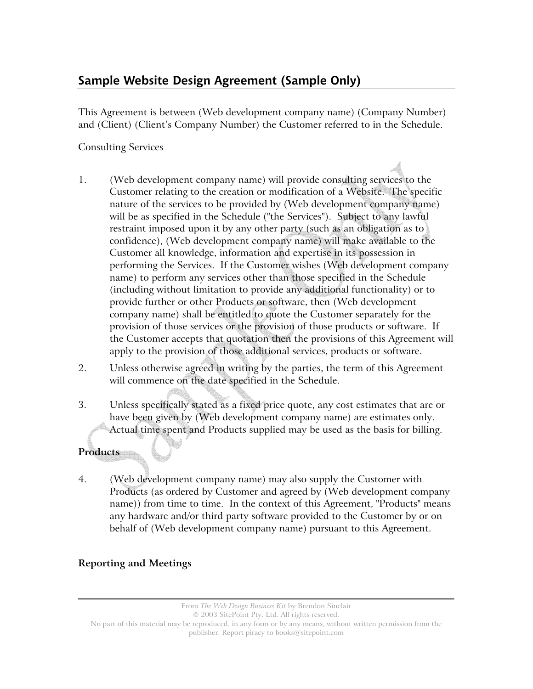# **Sample Website Design Agreement (Sample Only)**

This Agreement is between (Web development company name) (Company Number) and (Client) (Client's Company Number) the Customer referred to in the Schedule.

## Consulting Services

- 1. (Web development company name) will provide consulting services to the Customer relating to the creation or modification of a Website. The specific nature of the services to be provided by (Web development company name) will be as specified in the Schedule ("the Services"). Subject to any lawful restraint imposed upon it by any other party (such as an obligation as to confidence), (Web development company name) will make available to the Customer all knowledge, information and expertise in its possession in performing the Services. If the Customer wishes (Web development company name) to perform any services other than those specified in the Schedule (including without limitation to provide any additional functionality) or to provide further or other Products or software, then (Web development company name) shall be entitled to quote the Customer separately for the provision of those services or the provision of those products or software. If the Customer accepts that quotation then the provisions of this Agreement will apply to the provision of those additional services, products or software.
- 2. Unless otherwise agreed in writing by the parties, the term of this Agreement will commence on the date specified in the Schedule.
- 3. Unless specifically stated as a fixed price quote, any cost estimates that are or have been given by (Web development company name) are estimates only. Actual time spent and Products supplied may be used as the basis for billing.

# **Products**

4. (Web development company name) may also supply the Customer with Products (as ordered by Customer and agreed by (Web development company name)) from time to time. In the context of this Agreement, "Products" means any hardware and/or third party software provided to the Customer by or on behalf of (Web development company name) pursuant to this Agreement.

# **Reporting and Meetings**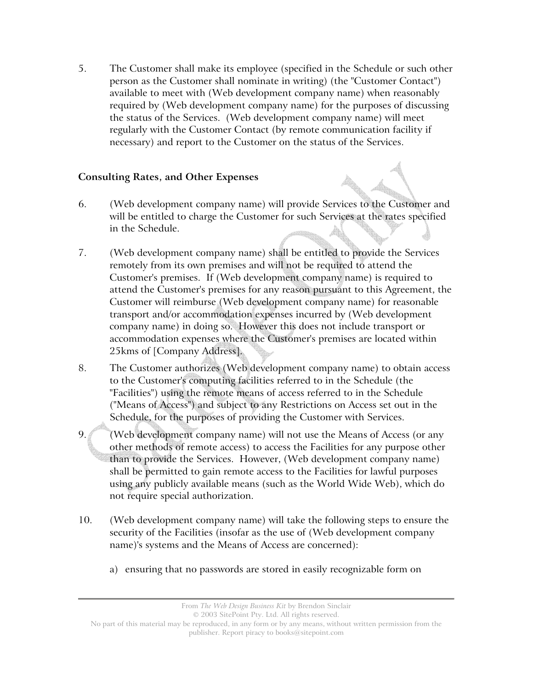5. The Customer shall make its employee (specified in the Schedule or such other person as the Customer shall nominate in writing) (the "Customer Contact") available to meet with (Web development company name) when reasonably required by (Web development company name) for the purposes of discussing the status of the Services. (Web development company name) will meet regularly with the Customer Contact (by remote communication facility if necessary) and report to the Customer on the status of the Services.

#### **Consulting Rates, and Other Expenses**

- 6. (Web development company name) will provide Services to the Customer and will be entitled to charge the Customer for such Services at the rates specified in the Schedule.
- 7. (Web development company name) shall be entitled to provide the Services remotely from its own premises and will not be required to attend the Customer's premises. If (Web development company name) is required to attend the Customer's premises for any reason pursuant to this Agreement, the Customer will reimburse (Web development company name) for reasonable transport and/or accommodation expenses incurred by (Web development company name) in doing so. However this does not include transport or accommodation expenses where the Customer's premises are located within 25kms of [Company Address].
- 8. The Customer authorizes (Web development company name) to obtain access to the Customer's computing facilities referred to in the Schedule (the "Facilities") using the remote means of access referred to in the Schedule ("Means of Access") and subject to any Restrictions on Access set out in the Schedule, for the purposes of providing the Customer with Services.
- 9. (Web development company name) will not use the Means of Access (or any other methods of remote access) to access the Facilities for any purpose other than to provide the Services. However, (Web development company name) shall be permitted to gain remote access to the Facilities for lawful purposes using any publicly available means (such as the World Wide Web), which do not require special authorization.
- 10. (Web development company name) will take the following steps to ensure the security of the Facilities (insofar as the use of (Web development company name)'s systems and the Means of Access are concerned):
	- a) ensuring that no passwords are stored in easily recognizable form on

No part of this material may be reproduced, in any form or by any means, without written permission from the publisher. Report piracy to books@sitepoint.com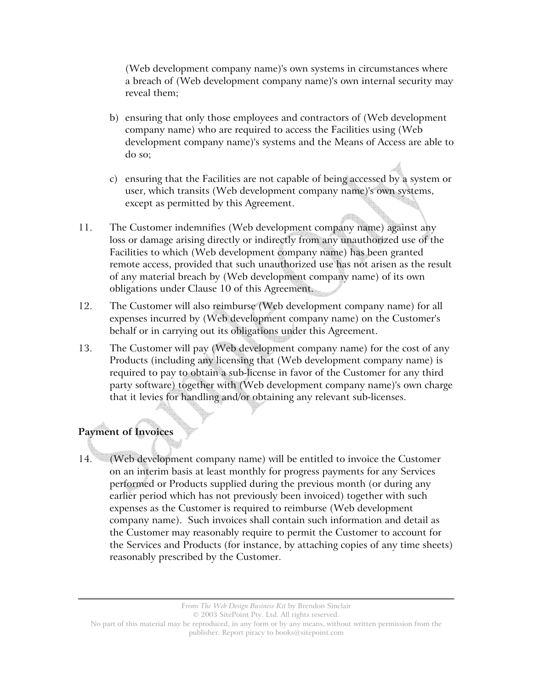(Web development company name)'s own systems in circumstances where a breach of (Web development company name)'s own internal security may reveal them;

- b) ensuring that only those employees and contractors of (Web development company name) who are required to access the Facilities using (Web development company name)'s systems and the Means of Access are able to do so;
- c) ensuring that the Facilities are not capable of being accessed by a system or user, which transits (Web development company name)'s own systems, except as permitted by this Agreement.
- 11. The Customer indemnifies (Web development company name) against any loss or damage arising directly or indirectly from any unauthorized use of the Facilities to which (Web development company name) has been granted remote access, provided that such unauthorized use has not arisen as the result of any material breach by (Web development company name) of its own obligations under Clause 10 of this Agreement.
- 12. The Customer will also reimburse (Web development company name) for all expenses incurred by (Web development company name) on the Customer's behalf or in carrying out its obligations under this Agreement.
- 13. The Customer will pay (Web development company name) for the cost of any Products (including any licensing that (Web development company name) is required to pay to obtain a sub-license in favor of the Customer for any third party software) together with (Web development company name)'s own charge that it levies for handling and/or obtaining any relevant sub-licenses.

# **Payment of Invoices**

14. (Web development company name) will be entitled to invoice the Customer on an interim basis at least monthly for progress payments for any Services performed or Products supplied during the previous month (or during any earlier period which has not previously been invoiced) together with such expenses as the Customer is required to reimburse (Web development company name). Such invoices shall contain such information and detail as the Customer may reasonably require to permit the Customer to account for the Services and Products (for instance, by attaching copies of any time sheets) reasonably prescribed by the Customer.

> From *The Web Design Business Kit* by Brendon Sinclair © 2003 SitePoint Pty. Ltd. All rights reserved.

No part of this material may be reproduced, in any form or by any means, without written permission from the publisher. Report piracy to books@sitepoint.com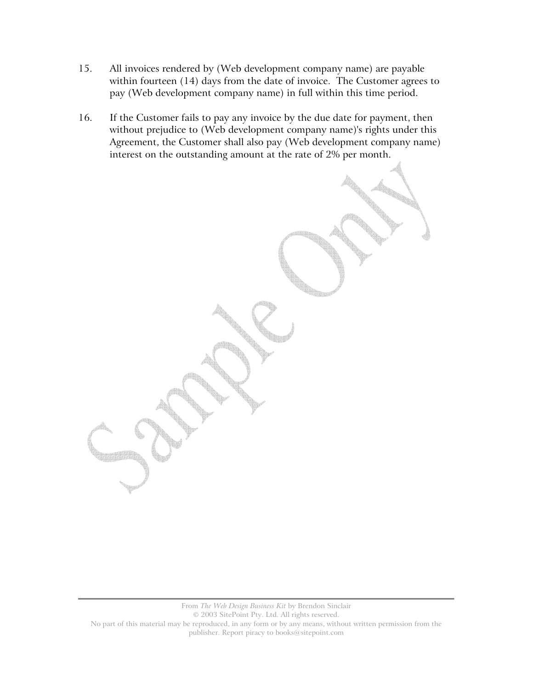- 15. All invoices rendered by (Web development company name) are payable within fourteen (14) days from the date of invoice. The Customer agrees to pay (Web development company name) in full within this time period.
- 16. If the Customer fails to pay any invoice by the due date for payment, then without prejudice to (Web development company name)'s rights under this Agreement, the Customer shall also pay (Web development company name) interest on the outstanding amount at the rate of 2% per month.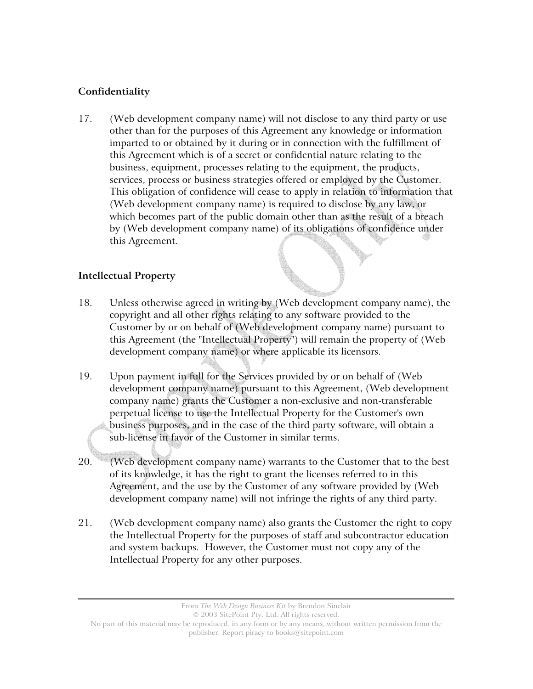# **Confidentiality**

17. (Web development company name) will not disclose to any third party or use other than for the purposes of this Agreement any knowledge or information imparted to or obtained by it during or in connection with the fulfillment of this Agreement which is of a secret or confidential nature relating to the business, equipment, processes relating to the equipment, the products, services, process or business strategies offered or employed by the Customer. This obligation of confidence will cease to apply in relation to information that (Web development company name) is required to disclose by any law, or which becomes part of the public domain other than as the result of a breach by (Web development company name) of its obligations of confidence under this Agreement.

#### **Intellectual Property**

- 18. Unless otherwise agreed in writing by (Web development company name), the copyright and all other rights relating to any software provided to the Customer by or on behalf of (Web development company name) pursuant to this Agreement (the "Intellectual Property") will remain the property of (Web development company name) or where applicable its licensors.
- 19. Upon payment in full for the Services provided by or on behalf of (Web development company name) pursuant to this Agreement, (Web development company name) grants the Customer a non-exclusive and non-transferable perpetual license to use the Intellectual Property for the Customer's own business purposes, and in the case of the third party software, will obtain a sub-license in favor of the Customer in similar terms.
- 20. (Web development company name) warrants to the Customer that to the best of its knowledge, it has the right to grant the licenses referred to in this Agreement, and the use by the Customer of any software provided by (Web development company name) will not infringe the rights of any third party.
- 21. (Web development company name) also grants the Customer the right to copy the Intellectual Property for the purposes of staff and subcontractor education and system backups. However, the Customer must not copy any of the Intellectual Property for any other purposes.

From *The Web Design Business Kit* by Brendon Sinclair

© 2003 SitePoint Pty. Ltd. All rights reserved.

No part of this material may be reproduced, in any form or by any means, without written permission from the publisher. Report piracy to books@sitepoint.com